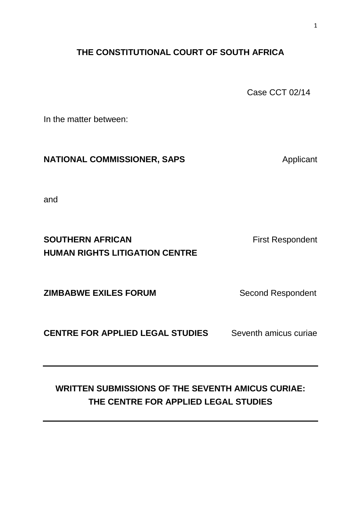## **THE CONSTITUTIONAL COURT OF SOUTH AFRICA**

Case CCT 02/14

In the matter between:

### **NATIONAL COMMISSIONER, SAPS** Applicant

and

## **SOUTHERN AFRICAN First Respondent HUMAN RIGHTS LITIGATION CENTRE**

**ZIMBABWE EXILES FORUM Second Respondent** 

**CENTRE FOR APPLIED LEGAL STUDIES** Seventh amicus curiae

## **WRITTEN SUBMISSIONS OF THE SEVENTH AMICUS CURIAE: THE CENTRE FOR APPLIED LEGAL STUDIES**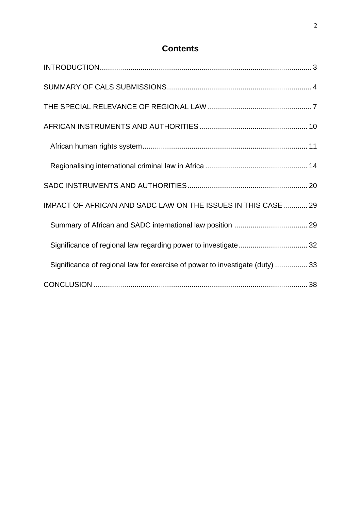## **Contents**

| IMPACT OF AFRICAN AND SADC LAW ON THE ISSUES IN THIS CASE  29                |  |
|------------------------------------------------------------------------------|--|
|                                                                              |  |
| Significance of regional law regarding power to investigate 32               |  |
| Significance of regional law for exercise of power to investigate (duty)  33 |  |
|                                                                              |  |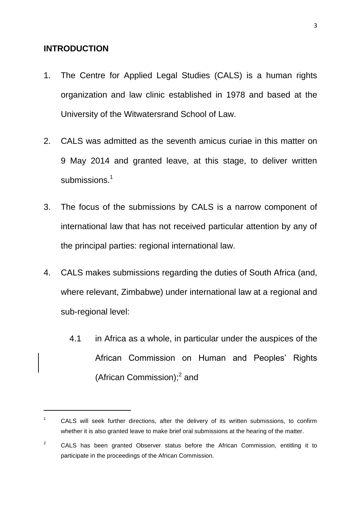#### <span id="page-2-0"></span>**INTRODUCTION**

1

- 1. The Centre for Applied Legal Studies (CALS) is a human rights organization and law clinic established in 1978 and based at the University of the Witwatersrand School of Law.
- 2. CALS was admitted as the seventh amicus curiae in this matter on 9 May 2014 and granted leave, at this stage, to deliver written submissions.<sup>1</sup>
- 3. The focus of the submissions by CALS is a narrow component of international law that has not received particular attention by any of the principal parties: regional international law.
- 4. CALS makes submissions regarding the duties of South Africa (and, where relevant, Zimbabwe) under international law at a regional and sub-regional level:
	- 4.1 in Africa as a whole, in particular under the auspices of the African Commission on Human and Peoples' Rights (African Commission);<sup>2</sup> and

 $1 -$  CALS will seek further directions, after the delivery of its written submissions, to confirm whether it is also granted leave to make brief oral submissions at the hearing of the matter.

 $2^2$  CALS has been granted Observer status before the African Commission, entitling it to participate in the proceedings of the African Commission.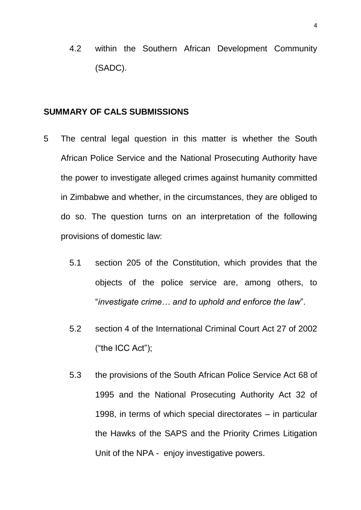4.2 within the Southern African Development Community (SADC).

#### <span id="page-3-0"></span>**SUMMARY OF CALS SUBMISSIONS**

- 5 The central legal question in this matter is whether the South African Police Service and the National Prosecuting Authority have the power to investigate alleged crimes against humanity committed in Zimbabwe and whether, in the circumstances, they are obliged to do so. The question turns on an interpretation of the following provisions of domestic law:
	- 5.1 section 205 of the Constitution, which provides that the objects of the police service are, among others, to "*investigate crime… and to uphold and enforce the law*".
	- 5.2 section 4 of the International Criminal Court Act 27 of 2002 ("the ICC Act");
	- 5.3 the provisions of the South African Police Service Act 68 of 1995 and the National Prosecuting Authority Act 32 of 1998, in terms of which special directorates – in particular the Hawks of the SAPS and the Priority Crimes Litigation Unit of the NPA - enjoy investigative powers.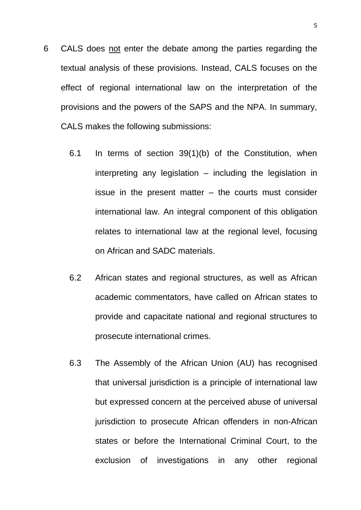- 6 CALS does not enter the debate among the parties regarding the textual analysis of these provisions. Instead, CALS focuses on the effect of regional international law on the interpretation of the provisions and the powers of the SAPS and the NPA. In summary, CALS makes the following submissions:
	- 6.1 In terms of section 39(1)(b) of the Constitution, when interpreting any legislation – including the legislation in issue in the present matter – the courts must consider international law. An integral component of this obligation relates to international law at the regional level, focusing on African and SADC materials.
	- 6.2 African states and regional structures, as well as African academic commentators, have called on African states to provide and capacitate national and regional structures to prosecute international crimes.
	- 6.3 The Assembly of the African Union (AU) has recognised that universal jurisdiction is a principle of international law but expressed concern at the perceived abuse of universal jurisdiction to prosecute African offenders in non-African states or before the International Criminal Court, to the exclusion of investigations in any other regional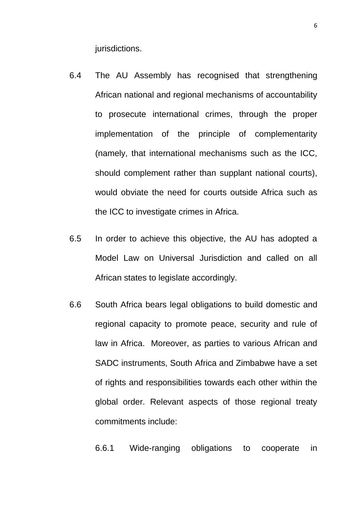jurisdictions.

- 6.4 The AU Assembly has recognised that strengthening African national and regional mechanisms of accountability to prosecute international crimes, through the proper implementation of the principle of complementarity (namely, that international mechanisms such as the ICC, should complement rather than supplant national courts), would obviate the need for courts outside Africa such as the ICC to investigate crimes in Africa.
- 6.5 In order to achieve this objective, the AU has adopted a Model Law on Universal Jurisdiction and called on all African states to legislate accordingly.
- 6.6 South Africa bears legal obligations to build domestic and regional capacity to promote peace, security and rule of law in Africa. Moreover, as parties to various African and SADC instruments, South Africa and Zimbabwe have a set of rights and responsibilities towards each other within the global order. Relevant aspects of those regional treaty commitments include:

6.6.1 Wide-ranging obligations to cooperate in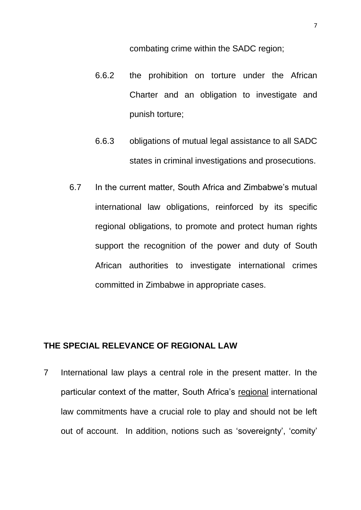combating crime within the SADC region;

- 6.6.2 the prohibition on torture under the African Charter and an obligation to investigate and punish torture;
- 6.6.3 obligations of mutual legal assistance to all SADC states in criminal investigations and prosecutions.
- 6.7 In the current matter, South Africa and Zimbabwe's mutual international law obligations, reinforced by its specific regional obligations, to promote and protect human rights support the recognition of the power and duty of South African authorities to investigate international crimes committed in Zimbabwe in appropriate cases.

### <span id="page-6-0"></span>**THE SPECIAL RELEVANCE OF REGIONAL LAW**

7 International law plays a central role in the present matter. In the particular context of the matter, South Africa's regional international law commitments have a crucial role to play and should not be left out of account. In addition, notions such as 'sovereignty', 'comity'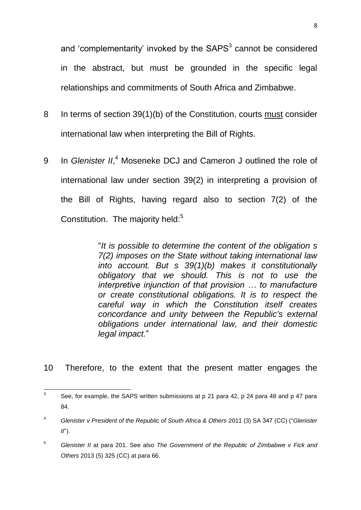and 'complementarity' invoked by the  $SAPS<sup>3</sup>$  cannot be considered in the abstract, but must be grounded in the specific legal relationships and commitments of South Africa and Zimbabwe.

- 8 In terms of section 39(1)(b) of the Constitution, courts must consider international law when interpreting the Bill of Rights.
- 9 In *Glenister II*, <sup>4</sup> Moseneke DCJ and Cameron J outlined the role of international law under section 39(2) in interpreting a provision of the Bill of Rights, having regard also to section 7(2) of the Constitution. The majority held:<sup>5</sup>

"*It is possible to determine the content of the obligation s 7(2) imposes on the State without taking international law into account. But s 39(1)(b) makes it constitutionally obligatory that we should. This is not to use the interpretive injunction of that provision … to manufacture or create constitutional obligations. It is to respect the careful way in which the Constitution itself creates concordance and unity between the Republic's external obligations under international law, and their domestic legal impact.*"

10 Therefore, to the extent that the present matter engages the

 $\frac{1}{3}$ See, for example, the SAPS written submissions at p 21 para 42, p 24 para 48 and p 47 para 84.

<sup>4</sup> *Glenister v President of the Republic of South Africa & Others* 2011 (3) SA 347 (CC) ("*Glenister II*").

<sup>5</sup> *Glenister II* at para 201. See also *The Government of the Republic of Zimbabwe v Fick and Others* 2013 (5) 325 (CC) at para 66.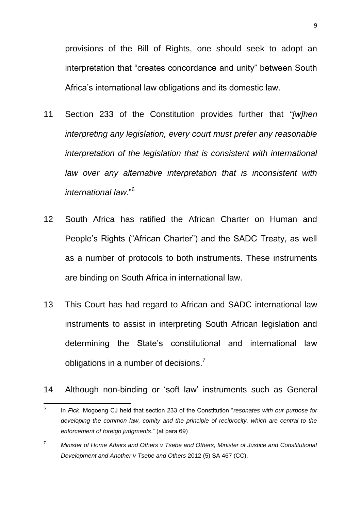provisions of the Bill of Rights, one should seek to adopt an interpretation that "creates concordance and unity" between South Africa's international law obligations and its domestic law.

- 11 Section 233 of the Constitution provides further that *"[w]hen interpreting any legislation, every court must prefer any reasonable interpretation of the legislation that is consistent with international*  law over any alternative interpretation that is inconsistent with *international law*."<sup>6</sup>
- 12 South Africa has ratified the African Charter on Human and People's Rights ("African Charter") and the SADC Treaty, as well as a number of protocols to both instruments. These instruments are binding on South Africa in international law.
- 13 This Court has had regard to African and SADC international law instruments to assist in interpreting South African legislation and determining the State's constitutional and international law obligations in a number of decisions.<sup>7</sup>
- 14 Although non-binding or 'soft law' instruments such as General

<sup>—&</sup>lt;br>6 In *Fick*, Mogoeng CJ held that section 233 of the Constitution "*resonates with our purpose for developing the common law, comity and the principle of reciprocity, which are central to the enforcement of foreign judgments*." (at para 69)

<sup>7</sup> *Minister of Home Affairs and Others v Tsebe and Others, Minister of Justice and Constitutional Development and Another v Tsebe and Others* 2012 (5) SA 467 (CC).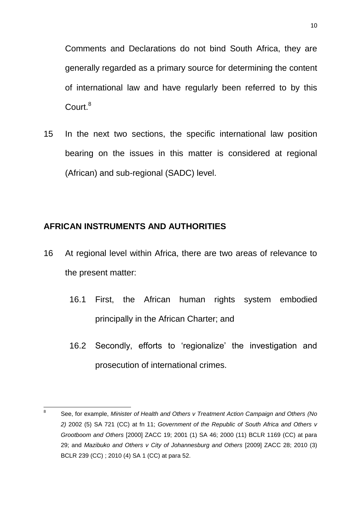Comments and Declarations do not bind South Africa, they are generally regarded as a primary source for determining the content of international law and have regularly been referred to by this Court.<sup>8</sup>

15 In the next two sections, the specific international law position bearing on the issues in this matter is considered at regional (African) and sub-regional (SADC) level.

## <span id="page-9-0"></span>**AFRICAN INSTRUMENTS AND AUTHORITIES**

- 16 At regional level within Africa, there are two areas of relevance to the present matter:
	- 16.1 First, the African human rights system embodied principally in the African Charter; and
	- 16.2 Secondly, efforts to 'regionalize' the investigation and prosecution of international crimes.

<sup>-&</sup>lt;br>8 See, for example, *Minister of Health and Others v Treatment Action Campaign and Others (No 2)* 2002 (5) SA 721 (CC) at fn 11; *Government of the Republic of South Africa and Others v Grootboom and Others* [2000] ZACC 19; 2001 (1) SA 46; 2000 (11) BCLR 1169 (CC) at para 29; and *Mazibuko and Others v City of Johannesburg and Others* [2009] ZACC 28; 2010 (3) BCLR 239 (CC) ; 2010 (4) SA 1 (CC) at para 52.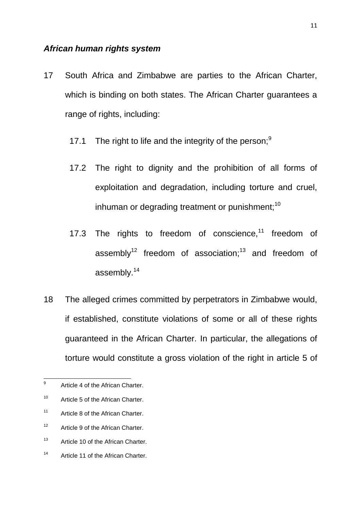#### <span id="page-10-0"></span>*African human rights system*

- 17 South Africa and Zimbabwe are parties to the African Charter, which is binding on both states. The African Charter guarantees a range of rights, including:
	- 17.1 The right to life and the integrity of the person;  $9$
	- 17.2 The right to dignity and the prohibition of all forms of exploitation and degradation, including torture and cruel, inhuman or degrading treatment or punishment; $10$
	- 17.3 The rights to freedom of conscience, $11$  freedom of assembly<sup>12</sup> freedom of association;<sup>13</sup> and freedom of assembly.<sup>14</sup>
- 18 The alleged crimes committed by perpetrators in Zimbabwe would, if established, constitute violations of some or all of these rights guaranteed in the African Charter. In particular, the allegations of torture would constitute a gross violation of the right in article 5 of

<sup>–&</sup>lt;br>9 Article 4 of the African Charter.

<sup>&</sup>lt;sup>10</sup> Article 5 of the African Charter.

<sup>&</sup>lt;sup>11</sup> Article 8 of the African Charter.

<sup>&</sup>lt;sup>12</sup> Article 9 of the African Charter.

<sup>&</sup>lt;sup>13</sup> Article 10 of the African Charter.

<sup>14</sup> Article 11 of the African Charter.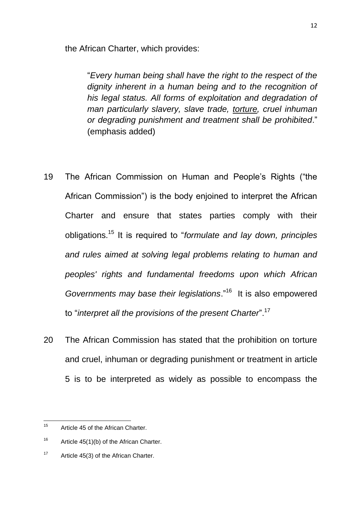the African Charter, which provides:

"*Every human being shall have the right to the respect of the dignity inherent in a human being and to the recognition of his legal status. All forms of exploitation and degradation of man particularly slavery, slave trade, torture, cruel inhuman or degrading punishment and treatment shall be prohibited*." (emphasis added)

- 19 The African Commission on Human and People's Rights ("the African Commission") is the body enjoined to interpret the African Charter and ensure that states parties comply with their obligations.<sup>15</sup> It is required to "*formulate and lay down, principles and rules aimed at solving legal problems relating to human and peoples' rights and fundamental freedoms upon which African Governments may base their legislations*."<sup>16</sup> It is also empowered to "*interpret all the provisions of the present Charter*".<sup>17</sup>
- 20 The African Commission has stated that the prohibition on torture and cruel, inhuman or degrading punishment or treatment in article 5 is to be interpreted as widely as possible to encompass the

<sup>15</sup> Article 45 of the African Charter.

 $16$  Article 45(1)(b) of the African Charter.

 $17$  Article 45(3) of the African Charter.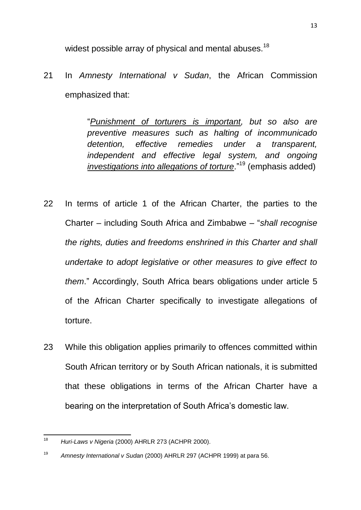widest possible array of physical and mental abuses.<sup>18</sup>

21 In *Amnesty International v Sudan*, the African Commission emphasized that:

> "*Punishment of torturers is important, but so also are preventive measures such as halting of incommunicado detention, effective remedies under a transparent, independent and effective legal system, and ongoing investigations into allegations of torture*."<sup>19</sup> (emphasis added)

- 22 In terms of article 1 of the African Charter, the parties to the Charter – including South Africa and Zimbabwe – "*shall recognise the rights, duties and freedoms enshrined in this Charter and shall undertake to adopt legislative or other measures to give effect to them*." Accordingly, South Africa bears obligations under article 5 of the African Charter specifically to investigate allegations of torture.
- 23 While this obligation applies primarily to offences committed within South African territory or by South African nationals, it is submitted that these obligations in terms of the African Charter have a bearing on the interpretation of South Africa's domestic law.

<sup>18</sup> <sup>18</sup> *Huri-Laws v Nigeria* (2000) AHRLR 273 (ACHPR 2000).

<sup>19</sup> *Amnesty International v Sudan* (2000) AHRLR 297 (ACHPR 1999) at para 56.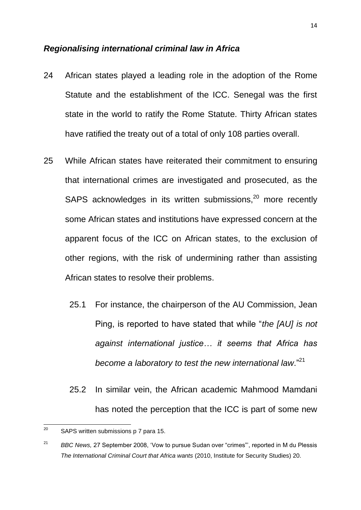#### <span id="page-13-0"></span>*Regionalising international criminal law in Africa*

- 24 African states played a leading role in the adoption of the Rome Statute and the establishment of the ICC. Senegal was the first state in the world to ratify the Rome Statute. Thirty African states have ratified the treaty out of a total of only 108 parties overall.
- 25 While African states have reiterated their commitment to ensuring that international crimes are investigated and prosecuted, as the SAPS acknowledges in its written submissions,<sup>20</sup> more recently some African states and institutions have expressed concern at the apparent focus of the ICC on African states, to the exclusion of other regions, with the risk of undermining rather than assisting African states to resolve their problems.
	- 25.1 For instance, the chairperson of the AU Commission, Jean Ping, is reported to have stated that while "*the [AU] is not against international justice… it seems that Africa has become a laboratory to test the new international law*."<sup>21</sup>
	- 25.2 In similar vein, the African academic Mahmood Mamdani has noted the perception that the ICC is part of some new

<span id="page-13-1"></span><sup>20</sup> SAPS written submissions p 7 para 15.

<sup>21</sup> *BBC News,* 27 September 2008, 'Vow to pursue Sudan over "crimes"', reported in M du Plessis *The International Criminal Court that Africa wants* (2010, Institute for Security Studies) 20.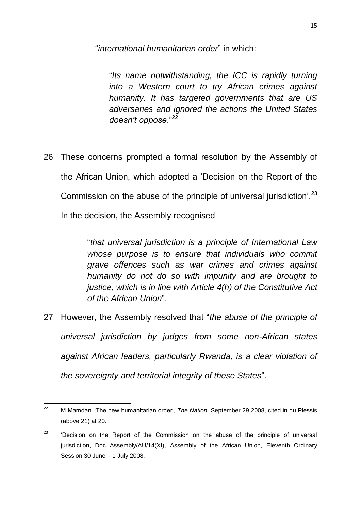"*international humanitarian order*" in which:

"*Its name notwithstanding, the ICC is rapidly turning into a Western court to try African crimes against humanity. It has targeted governments that are US adversaries and ignored the actions the United States doesn't oppose*."<sup>22</sup>

26 These concerns prompted a formal resolution by the Assembly of the African Union, which adopted a 'Decision on the Report of the Commission on the abuse of the principle of universal jurisdiction'.<sup>23</sup> In the decision, the Assembly recognised

> "*that universal jurisdiction is a principle of International Law whose purpose is to ensure that individuals who commit grave offences such as war crimes and crimes against humanity do not do so with impunity and are brought to justice, which is in line with Article 4(h) of the Constitutive Act of the African Union*".

27 However, the Assembly resolved that "*the abuse of the principle of universal jurisdiction by judges from some non-African states against African leaders, particularly Rwanda, is a clear violation of the sovereignty and territorial integrity of these States*".

 $22$ <sup>22</sup> M Mamdani 'The new humanitarian order', *The Nation,* September 29 2008, cited in du Plessis (above [21\)](#page-13-1) at 20.

 $23$  'Decision on the Report of the Commission on the abuse of the principle of universal jurisdiction, Doc Assembly/AU/14(XI), Assembly of the African Union, Eleventh Ordinary Session 30 June – 1 July 2008.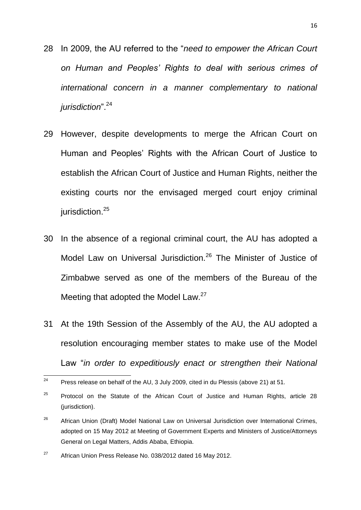- 28 In 2009, the AU referred to the "*need to empower the African Court on Human and Peoples' Rights to deal with serious crimes of international concern in a manner complementary to national jurisdiction*".<sup>24</sup>
- 29 However, despite developments to merge the African Court on Human and Peoples' Rights with the African Court of Justice to establish the African Court of Justice and Human Rights, neither the existing courts nor the envisaged merged court enjoy criminal jurisdiction.<sup>25</sup>
- 30 In the absence of a regional criminal court, the AU has adopted a Model Law on Universal Jurisdiction.<sup>26</sup> The Minister of Justice of Zimbabwe served as one of the members of the Bureau of the Meeting that adopted the Model Law.<sup>27</sup>
- 31 At the 19th Session of the Assembly of the AU, the AU adopted a resolution encouraging member states to make use of the Model Law "*in order to expeditiously enact or strengthen their National*

 $24\,$ <sup>24</sup> Press release on behalf of the AU, 3 July 2009, cited in du Plessis (above [21\)](#page-13-1) at 51.

 $25$  Protocol on the Statute of the African Court of Justice and Human Rights, article 28 (jurisdiction).

 $26$  African Union (Draft) Model National Law on Universal Jurisdiction over International Crimes, adopted on 15 May 2012 at Meeting of Government Experts and Ministers of Justice/Attorneys General on Legal Matters, Addis Ababa, Ethiopia.

 $27$  African Union Press Release No. 038/2012 dated 16 May 2012.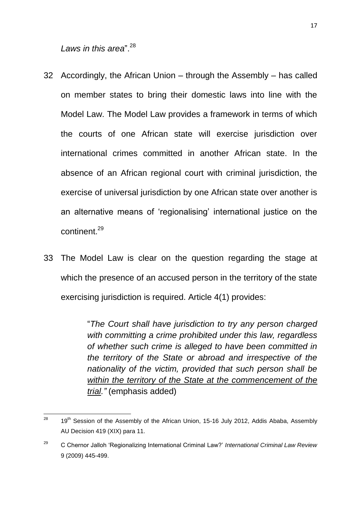*Laws in this area*" <sup>28</sup>

- 32 Accordingly, the African Union through the Assembly has called on member states to bring their domestic laws into line with the Model Law. The Model Law provides a framework in terms of which the courts of one African state will exercise jurisdiction over international crimes committed in another African state. In the absence of an African regional court with criminal jurisdiction, the exercise of universal jurisdiction by one African state over another is an alternative means of 'regionalising' international justice on the continent<sup>29</sup>
- 33 The Model Law is clear on the question regarding the stage at which the presence of an accused person in the territory of the state exercising jurisdiction is required. Article 4(1) provides:

"*The Court shall have jurisdiction to try any person charged with committing a crime prohibited under this law, regardless of whether such crime is alleged to have been committed in the territory of the State or abroad and irrespective of the nationality of the victim, provided that such person shall be within the territory of the State at the commencement of the trial."* (emphasis added)

<sup>28</sup> 19<sup>th</sup> Session of the Assembly of the African Union, 15-16 July 2012, Addis Ababa, Assembly AU Decision 419 (XIX) para 11.

<sup>29</sup> C Chernor Jalloh 'Regionalizing International Criminal Law?' *International Criminal Law Review*  9 (2009) 445-499.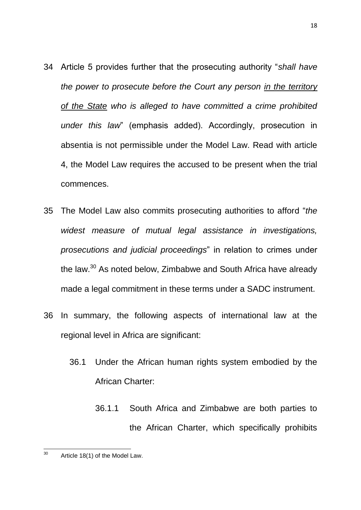- 34 Article 5 provides further that the prosecuting authority "*shall have the power to prosecute before the Court any person in the territory of the State who is alleged to have committed a crime prohibited under this law*" (emphasis added). Accordingly, prosecution in absentia is not permissible under the Model Law. Read with article 4, the Model Law requires the accused to be present when the trial commences.
- 35 The Model Law also commits prosecuting authorities to afford "*the widest measure of mutual legal assistance in investigations, prosecutions and judicial proceedings*" in relation to crimes under the law.<sup>30</sup> As noted below, Zimbabwe and South Africa have already made a legal commitment in these terms under a SADC instrument.
- 36 In summary, the following aspects of international law at the regional level in Africa are significant:
	- 36.1 Under the African human rights system embodied by the African Charter:
		- 36.1.1 South Africa and Zimbabwe are both parties to the African Charter, which specifically prohibits

<sup>18</sup>

<sup>30</sup> Article 18(1) of the Model Law.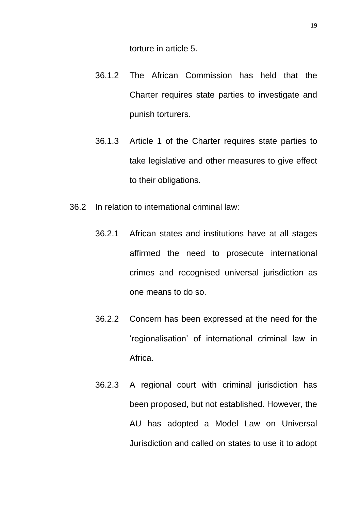torture in article 5.

- 36.1.2 The African Commission has held that the Charter requires state parties to investigate and punish torturers.
- 36.1.3 Article 1 of the Charter requires state parties to take legislative and other measures to give effect to their obligations.
- 36.2 In relation to international criminal law:
	- 36.2.1 African states and institutions have at all stages affirmed the need to prosecute international crimes and recognised universal jurisdiction as one means to do so.
	- 36.2.2 Concern has been expressed at the need for the 'regionalisation' of international criminal law in Africa.
	- 36.2.3 A regional court with criminal jurisdiction has been proposed, but not established. However, the AU has adopted a Model Law on Universal Jurisdiction and called on states to use it to adopt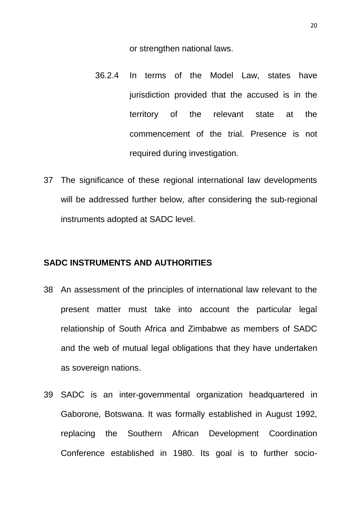or strengthen national laws.

- 36.2.4 In terms of the Model Law, states have jurisdiction provided that the accused is in the territory of the relevant state at the commencement of the trial. Presence is not required during investigation.
- 37 The significance of these regional international law developments will be addressed further below, after considering the sub-regional instruments adopted at SADC level.

#### <span id="page-19-0"></span>**SADC INSTRUMENTS AND AUTHORITIES**

- 38 An assessment of the principles of international law relevant to the present matter must take into account the particular legal relationship of South Africa and Zimbabwe as members of SADC and the web of mutual legal obligations that they have undertaken as sovereign nations.
- 39 SADC is an inter-governmental organization headquartered in [Gaborone,](http://en.wikipedia.org/wiki/Gaborone) [Botswana.](http://en.wikipedia.org/wiki/Botswana) It was formally established in August 1992, replacing the Southern African Development Coordination Conference established in 1980. Its goal is to further socio-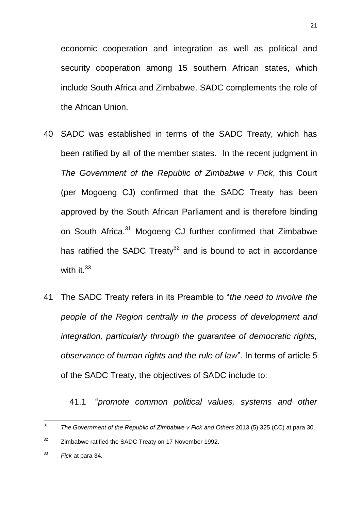economic cooperation and integration as well as political and security cooperation among 15 southern African states, which include South Africa and Zimbabwe. SADC complements the role of the [African Union.](http://en.wikipedia.org/wiki/African_Union)

- 40 SADC was established in terms of the SADC Treaty, which has been ratified by all of the member states. In the recent judgment in *The Government of the Republic of Zimbabwe v Fick*, this Court (per Mogoeng CJ) confirmed that the SADC Treaty has been approved by the South African Parliament and is therefore binding on South Africa.<sup>31</sup> Mogoeng CJ further confirmed that Zimbabwe has ratified the SADC Treaty $32$  and is bound to act in accordance with it. $33$
- 41 The SADC Treaty refers in its Preamble to "*the need to involve the people of the Region centrally in the process of development and integration, particularly through the guarantee of democratic rights, observance of human rights and the rule of law*". In terms of article 5 of the SADC Treaty, the objectives of SADC include to:

41.1 "*promote common political values, systems and other* 

 $31$ <sup>31</sup> *The Government of the Republic of Zimbabwe v Fick and Others* 2013 (5) 325 (CC) at para 30.

 $32$  Zimbabwe ratified the SADC Treaty on 17 November 1992.

<sup>33</sup> *Fick* at para 34.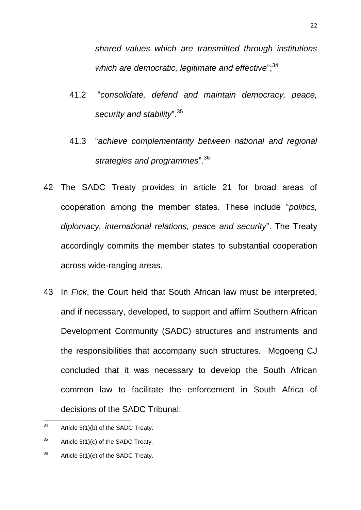*shared values which are transmitted through institutions*  which are democratic, legitimate and effective";<sup>34</sup>

- 41.2 "*consolidate, defend and maintain democracy, peace, security and stability*".<sup>35</sup>
- 41.3 "*achieve complementarity between national and regional strategies and programmes*".<sup>36</sup>
- 42 The SADC Treaty provides in article 21 for broad areas of cooperation among the member states. These include "*politics, diplomacy, international relations, peace and security*". The Treaty accordingly commits the member states to substantial cooperation across wide-ranging areas.
- 43 In *Fick*, the Court held that South African law must be interpreted, and if necessary, developed, to support and affirm Southern African Development Community (SADC) structures and instruments and the responsibilities that accompany such structures. Mogoeng CJ concluded that it was necessary to develop the South African common law to facilitate the enforcement in South Africa of decisions of the SADC Tribunal:

<sup>34</sup> Article 5(1)(b) of the SADC Treaty.

 $35$  Article 5(1)(c) of the SADC Treaty.

 $36$  Article 5(1)(e) of the SADC Treaty.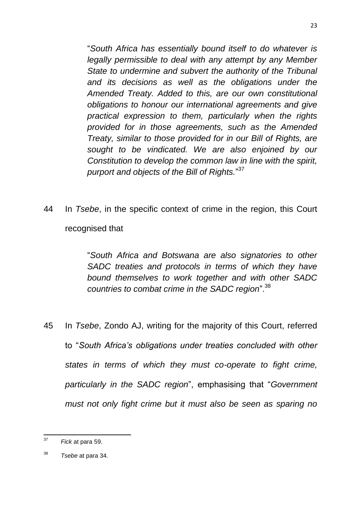"*South Africa has essentially bound itself to do whatever is legally permissible to deal with any attempt by any Member State to undermine and subvert the authority of the Tribunal and its decisions as well as the obligations under the Amended Treaty. Added to this, are our own constitutional obligations to honour our international agreements and give practical expression to them, particularly when the rights provided for in those agreements, such as the Amended Treaty, similar to those provided for in our Bill of Rights, are sought to be vindicated. We are also enjoined by our Constitution to develop the common law in line with the spirit, purport and objects of the Bill of Rights.*" 37

44 In *Tsebe*, in the specific context of crime in the region, this Court recognised that

> "*South Africa and Botswana are also signatories to other SADC treaties and protocols in terms of which they have bound themselves to work together and with other SADC countries to combat crime in the SADC region*". 38

45 In *Tsebe*, Zondo AJ, writing for the majority of this Court, referred to "*South Africa's obligations under treaties concluded with other states in terms of which they must co-operate to fight crime, particularly in the SADC region*", emphasising that "*Government must not only fight crime but it must also be seen as sparing no* 

 $37$ <sup>37</sup> *Fick* at para 59.

<sup>38</sup> *Tsebe* at para 34.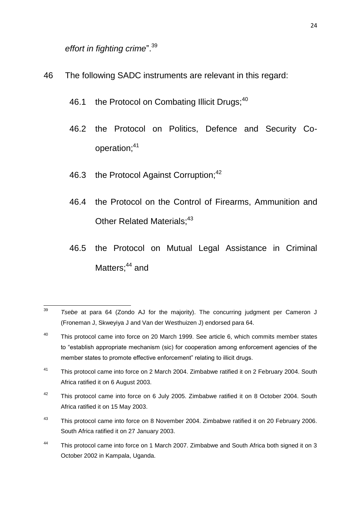*effort in fighting crime*".<sup>39</sup>

- 46 The following SADC instruments are relevant in this regard:
	- 46.1 the Protocol on Combating Illicit Drugs;<sup>40</sup>
	- 46.2 the Protocol on Politics, Defence and Security Cooperation;<sup>41</sup>
	- 46.3 the Protocol Against Corruption;<sup>42</sup>
	- 46.4 the Protocol on the Control of Firearms, Ammunition and Other Related Materials;<sup>43</sup>
	- 46.5 the Protocol on Mutual Legal Assistance in Criminal Matters; $44$  and

- <sup>41</sup> This protocol came into force on 2 March 2004. Zimbabwe ratified it on 2 February 2004. South Africa ratified it on 6 August 2003.
- $42$  This protocol came into force on 6 July 2005. Zimbabwe ratified it on 8 October 2004. South Africa ratified it on 15 May 2003.
- $43$  This protocol came into force on 8 November 2004. Zimbabwe ratified it on 20 February 2006. South Africa ratified it on 27 January 2003.
- 44 This protocol came into force on 1 March 2007. Zimbabwe and South Africa both signed it on 3 October 2002 in Kampala, Uganda.

 $39$ <sup>39</sup> *Tsebe* at para 64 (Zondo AJ for the majority). The concurring judgment per Cameron J (Froneman J, Skweyiya J and Van der Westhuizen J) endorsed para 64.

 $40$  This protocol came into force on 20 March 1999. See article 6, which commits member states to "establish appropriate mechanism (sic) for cooperation among enforcement agencies of the member states to promote effective enforcement" relating to illicit drugs.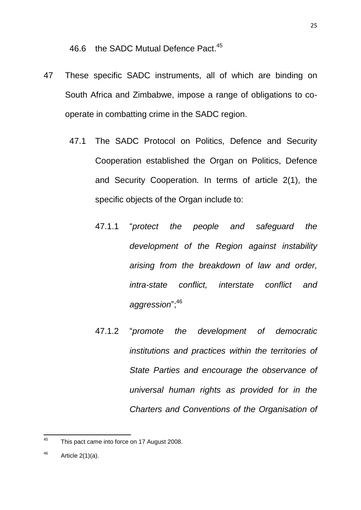46.6 the SADC Mutual Defence Pact.<sup>45</sup>

- 47 These specific SADC instruments, all of which are binding on South Africa and Zimbabwe, impose a range of obligations to cooperate in combatting crime in the SADC region.
	- 47.1 The SADC Protocol on Politics, Defence and Security Cooperation established the Organ on Politics, Defence and Security Cooperation. In terms of article 2(1), the specific objects of the Organ include to:
		- 47.1.1 "*protect the people and safeguard the development of the Region against instability arising from the breakdown of law and order, intra-state conflict, interstate conflict and aggression*"; 46
		- 47.1.2 "*promote the development of democratic institutions and practices within the territories of State Parties and encourage the observance of universal human rights as provided for in the Charters and Conventions of the Organisation of*

<sup>45</sup> This pact came into force on 17 August 2008.

 $46$  Article 2(1)(a).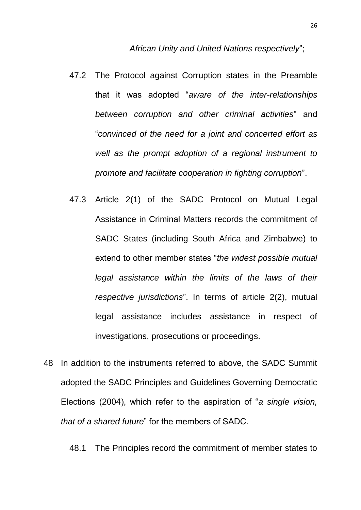- 47.2 The Protocol against Corruption states in the Preamble that it was adopted "*aware of the inter-relationships between corruption and other criminal activities*" and "*convinced of the need for a joint and concerted effort as well as the prompt adoption of a regional instrument to promote and facilitate cooperation in fighting corruption*".
- 47.3 Article 2(1) of the SADC Protocol on Mutual Legal Assistance in Criminal Matters records the commitment of SADC States (including South Africa and Zimbabwe) to extend to other member states "*the widest possible mutual legal assistance within the limits of the laws of their respective jurisdictions*". In terms of article 2(2), mutual legal assistance includes assistance in respect of investigations, prosecutions or proceedings.
- 48 In addition to the instruments referred to above, the SADC Summit adopted the SADC Principles and Guidelines Governing Democratic Elections (2004), which refer to the aspiration of "*a single vision, that of a shared future*" for the members of SADC.

48.1 The Principles record the commitment of member states to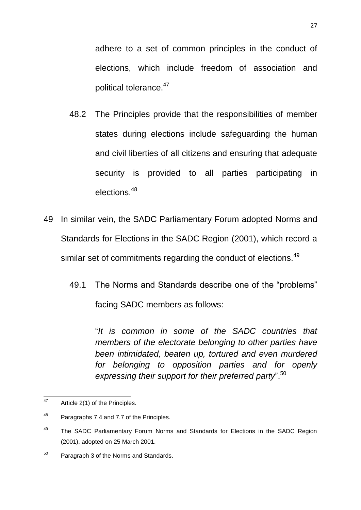adhere to a set of common principles in the conduct of elections, which include freedom of association and political tolerance.<sup>47</sup>

- 48.2 The Principles provide that the responsibilities of member states during elections include safeguarding the human and civil liberties of all citizens and ensuring that adequate security is provided to all parties participating in elections.<sup>48</sup>
- 49 In similar vein, the SADC Parliamentary Forum adopted Norms and Standards for Elections in the SADC Region (2001), which record a similar set of commitments regarding the conduct of elections.<sup>49</sup>
	- 49.1 The Norms and Standards describe one of the "problems" facing SADC members as follows:

"*It is common in some of the SADC countries that members of the electorate belonging to other parties have been intimidated, beaten up, tortured and even murdered for belonging to opposition parties and for openly expressing their support for their preferred party*".<sup>50</sup>

<sup>47</sup> Article 2(1) of the Principles.

<sup>&</sup>lt;sup>48</sup> Paragraphs 7.4 and 7.7 of the Principles.

<sup>&</sup>lt;sup>49</sup> The SADC Parliamentary Forum Norms and Standards for Elections in the SADC Region (2001), adopted on 25 March 2001.

 $50$  Paragraph 3 of the Norms and Standards.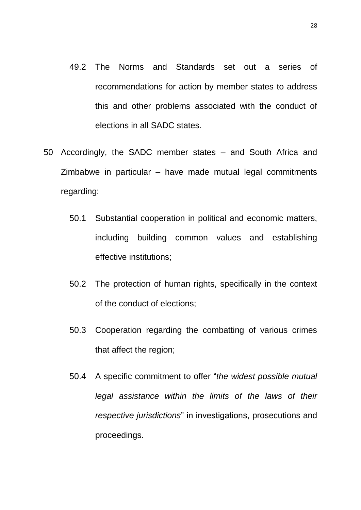- 49.2 The Norms and Standards set out a series of recommendations for action by member states to address this and other problems associated with the conduct of elections in all SADC states.
- 50 Accordingly, the SADC member states and South Africa and Zimbabwe in particular – have made mutual legal commitments regarding:
	- 50.1 Substantial cooperation in political and economic matters, including building common values and establishing effective institutions;
	- 50.2 The protection of human rights, specifically in the context of the conduct of elections;
	- 50.3 Cooperation regarding the combatting of various crimes that affect the region;
	- 50.4 A specific commitment to offer "*the widest possible mutual legal assistance within the limits of the laws of their respective jurisdictions*" in investigations, prosecutions and proceedings.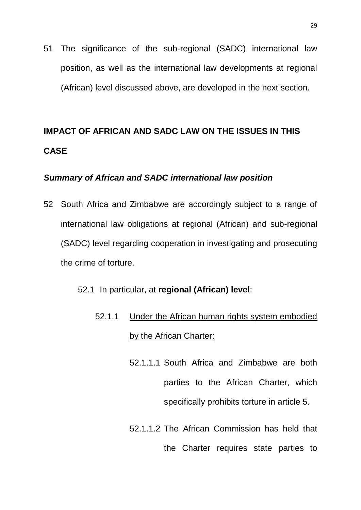51 The significance of the sub-regional (SADC) international law position, as well as the international law developments at regional (African) level discussed above, are developed in the next section.

# <span id="page-28-0"></span>**IMPACT OF AFRICAN AND SADC LAW ON THE ISSUES IN THIS CASE**

### <span id="page-28-1"></span>*Summary of African and SADC international law position*

52 South Africa and Zimbabwe are accordingly subject to a range of international law obligations at regional (African) and sub-regional (SADC) level regarding cooperation in investigating and prosecuting the crime of torture.

### 52.1 In particular, at **regional (African) level**:

- 52.1.1 Under the African human rights system embodied by the African Charter:
	- 52.1.1.1 South Africa and Zimbabwe are both parties to the African Charter, which specifically prohibits torture in article 5.
	- 52.1.1.2 The African Commission has held that the Charter requires state parties to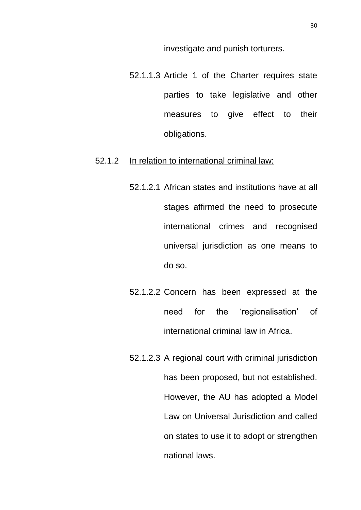investigate and punish torturers.

52.1.1.3 Article 1 of the Charter requires state parties to take legislative and other measures to give effect to their obligations.

#### 52.1.2 In relation to international criminal law:

- 52.1.2.1 African states and institutions have at all stages affirmed the need to prosecute international crimes and recognised universal jurisdiction as one means to do so.
- 52.1.2.2 Concern has been expressed at the need for the 'regionalisation' of international criminal law in Africa.
- 52.1.2.3 A regional court with criminal jurisdiction has been proposed, but not established. However, the AU has adopted a Model Law on Universal Jurisdiction and called on states to use it to adopt or strengthen national laws.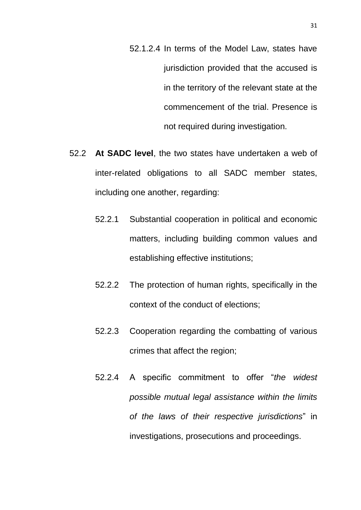- 52.1.2.4 In terms of the Model Law, states have jurisdiction provided that the accused is in the territory of the relevant state at the commencement of the trial. Presence is not required during investigation.
- 52.2 **At SADC level**, the two states have undertaken a web of inter-related obligations to all SADC member states, including one another, regarding:
	- 52.2.1 Substantial cooperation in political and economic matters, including building common values and establishing effective institutions;
	- 52.2.2 The protection of human rights, specifically in the context of the conduct of elections;
	- 52.2.3 Cooperation regarding the combatting of various crimes that affect the region;
	- 52.2.4 A specific commitment to offer "*the widest possible mutual legal assistance within the limits of the laws of their respective jurisdictions*" in investigations, prosecutions and proceedings.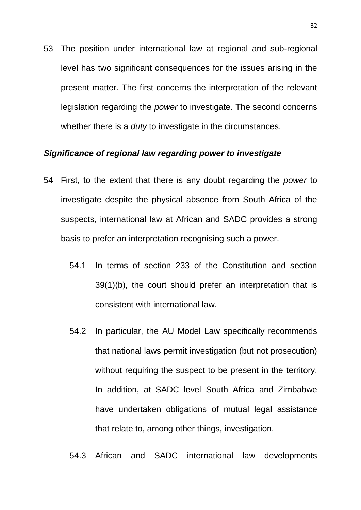53 The position under international law at regional and sub-regional level has two significant consequences for the issues arising in the present matter. The first concerns the interpretation of the relevant legislation regarding the *power* to investigate. The second concerns whether there is a *duty* to investigate in the circumstances.

#### <span id="page-31-0"></span>*Significance of regional law regarding power to investigate*

- 54 First, to the extent that there is any doubt regarding the *power* to investigate despite the physical absence from South Africa of the suspects, international law at African and SADC provides a strong basis to prefer an interpretation recognising such a power.
	- 54.1 In terms of section 233 of the Constitution and section 39(1)(b), the court should prefer an interpretation that is consistent with international law.
	- 54.2 In particular, the AU Model Law specifically recommends that national laws permit investigation (but not prosecution) without requiring the suspect to be present in the territory. In addition, at SADC level South Africa and Zimbabwe have undertaken obligations of mutual legal assistance that relate to, among other things, investigation.
	- 54.3 African and SADC international law developments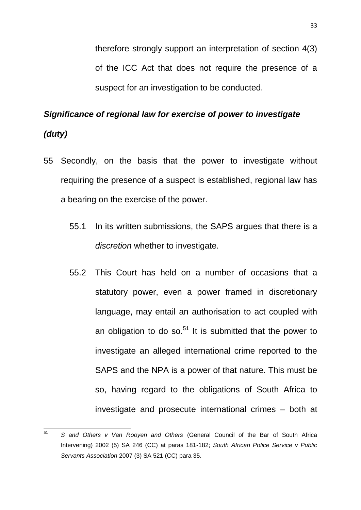therefore strongly support an interpretation of section 4(3) of the ICC Act that does not require the presence of a suspect for an investigation to be conducted.

### <span id="page-32-0"></span>*Significance of regional law for exercise of power to investigate*

### *(duty)*

- 55 Secondly, on the basis that the power to investigate without requiring the presence of a suspect is established, regional law has a bearing on the exercise of the power.
	- 55.1 In its written submissions, the SAPS argues that there is a *discretion* whether to investigate.
	- 55.2 This Court has held on a number of occasions that a statutory power, even a power framed in discretionary language, may entail an authorisation to act coupled with an obligation to do so. $51$  It is submitted that the power to investigate an alleged international crime reported to the SAPS and the NPA is a power of that nature. This must be so, having regard to the obligations of South Africa to investigate and prosecute international crimes – both at

<sup>51</sup> <sup>51</sup> *S and Others v Van Rooyen and Others* (General Council of the Bar of South Africa Intervening) 2002 (5) SA 246 (CC) at paras 181-182; *South African Police Service v Public Servants Association* 2007 (3) SA 521 (CC) para 35.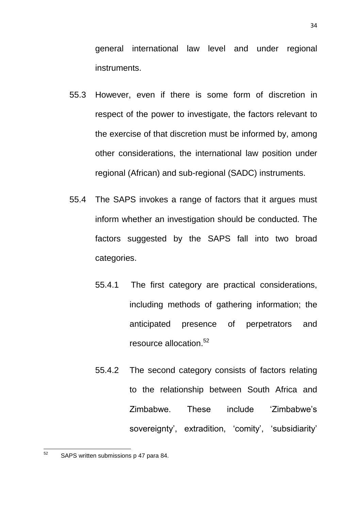general international law level and under regional instruments.

- 55.3 However, even if there is some form of discretion in respect of the power to investigate, the factors relevant to the exercise of that discretion must be informed by, among other considerations, the international law position under regional (African) and sub-regional (SADC) instruments.
- 55.4 The SAPS invokes a range of factors that it argues must inform whether an investigation should be conducted. The factors suggested by the SAPS fall into two broad categories.
	- 55.4.1 The first category are practical considerations, including methods of gathering information; the anticipated presence of perpetrators and resource allocation.<sup>52</sup>
	- 55.4.2 The second category consists of factors relating to the relationship between South Africa and Zimbabwe. These include 'Zimbabwe's sovereignty', extradition, 'comity', 'subsidiarity'

<sup>52</sup> SAPS written submissions p 47 para 84.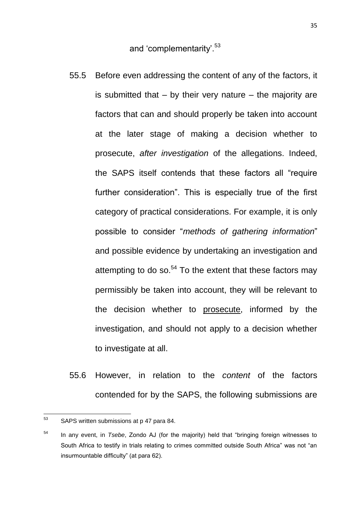and 'complementarity'.<sup>53</sup>

- 55.5 Before even addressing the content of any of the factors, it is submitted that  $-$  by their very nature  $-$  the majority are factors that can and should properly be taken into account at the later stage of making a decision whether to prosecute, *after investigation* of the allegations. Indeed, the SAPS itself contends that these factors all "require further consideration". This is especially true of the first category of practical considerations. For example, it is only possible to consider "*methods of gathering information*" and possible evidence by undertaking an investigation and attempting to do so. $54$  To the extent that these factors may permissibly be taken into account, they will be relevant to the decision whether to prosecute, informed by the investigation, and should not apply to a decision whether to investigate at all.
- 55.6 However, in relation to the *content* of the factors contended for by the SAPS, the following submissions are

<sup>53</sup> SAPS written submissions at p 47 para 84.

<sup>54</sup> In any event, in *Tsebe*, Zondo AJ (for the majority) held that "bringing foreign witnesses to South Africa to testify in trials relating to crimes committed outside South Africa" was not "an insurmountable difficulty" (at para 62).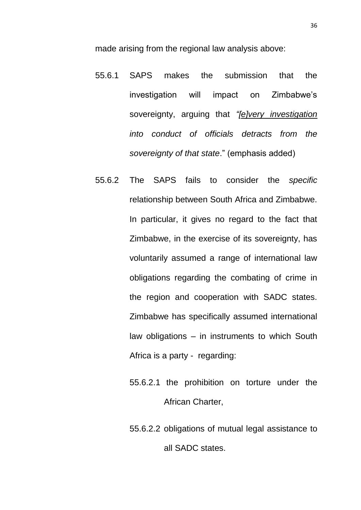made arising from the regional law analysis above:

- 55.6.1 SAPS makes the submission that the investigation will impact on Zimbabwe's sovereignty, arguing that *"[e]very investigation into conduct of officials detracts from the sovereignty of that state*." (emphasis added)
- 55.6.2 The SAPS fails to consider the *specific* relationship between South Africa and Zimbabwe. In particular, it gives no regard to the fact that Zimbabwe, in the exercise of its sovereignty, has voluntarily assumed a range of international law obligations regarding the combating of crime in the region and cooperation with SADC states. Zimbabwe has specifically assumed international law obligations – in instruments to which South Africa is a party - regarding:
	- 55.6.2.1 the prohibition on torture under the African Charter,
	- 55.6.2.2 obligations of mutual legal assistance to all SADC states.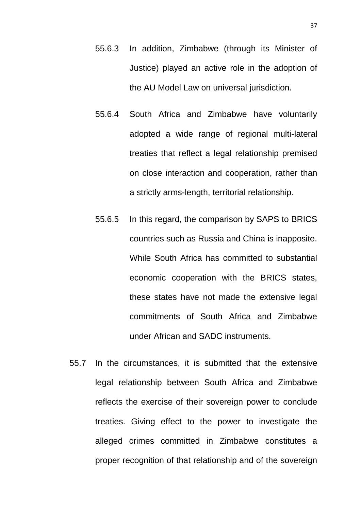- 55.6.3 In addition, Zimbabwe (through its Minister of Justice) played an active role in the adoption of the AU Model Law on universal jurisdiction.
- 55.6.4 South Africa and Zimbabwe have voluntarily adopted a wide range of regional multi-lateral treaties that reflect a legal relationship premised on close interaction and cooperation, rather than a strictly arms-length, territorial relationship.
- 55.6.5 In this regard, the comparison by SAPS to BRICS countries such as Russia and China is inapposite. While South Africa has committed to substantial economic cooperation with the BRICS states, these states have not made the extensive legal commitments of South Africa and Zimbabwe under African and SADC instruments.
- 55.7 In the circumstances, it is submitted that the extensive legal relationship between South Africa and Zimbabwe reflects the exercise of their sovereign power to conclude treaties. Giving effect to the power to investigate the alleged crimes committed in Zimbabwe constitutes a proper recognition of that relationship and of the sovereign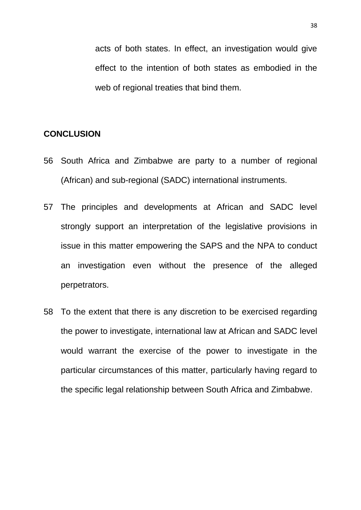acts of both states. In effect, an investigation would give effect to the intention of both states as embodied in the web of regional treaties that bind them.

#### <span id="page-37-0"></span>**CONCLUSION**

- 56 South Africa and Zimbabwe are party to a number of regional (African) and sub-regional (SADC) international instruments.
- 57 The principles and developments at African and SADC level strongly support an interpretation of the legislative provisions in issue in this matter empowering the SAPS and the NPA to conduct an investigation even without the presence of the alleged perpetrators.
- 58 To the extent that there is any discretion to be exercised regarding the power to investigate, international law at African and SADC level would warrant the exercise of the power to investigate in the particular circumstances of this matter, particularly having regard to the specific legal relationship between South Africa and Zimbabwe.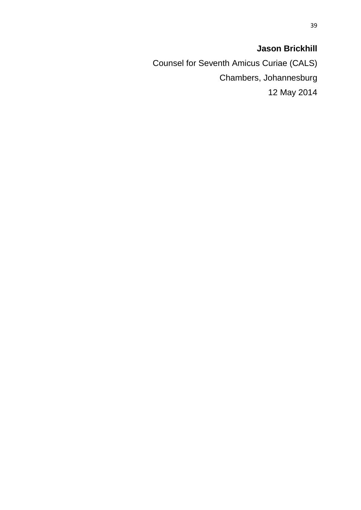## **Jason Brickhill**

Counsel for Seventh Amicus Curiae (CALS) Chambers, Johannesburg 12 May 2014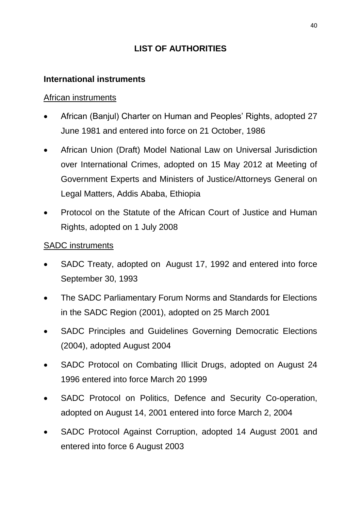## **LIST OF AUTHORITIES**

## **International instruments**

## African instruments

- African (Banjul) Charter on Human and Peoples' Rights, adopted 27 June 1981 and entered into force on 21 October, 1986
- African Union (Draft) Model National Law on Universal Jurisdiction over International Crimes, adopted on 15 May 2012 at Meeting of Government Experts and Ministers of Justice/Attorneys General on Legal Matters, Addis Ababa, Ethiopia
- Protocol on the Statute of the African Court of Justice and Human Rights, adopted on 1 July 2008

## SADC instruments

- SADC Treaty, adopted on August 17, 1992 and entered into force September 30, 1993
- The SADC Parliamentary Forum Norms and Standards for Elections in the SADC Region (2001), adopted on 25 March 2001
- SADC Principles and Guidelines Governing Democratic Elections (2004), adopted August 2004
- SADC Protocol on Combating Illicit Drugs, adopted on August 24 1996 entered into force March 20 1999
- SADC Protocol on Politics, Defence and Security Co-operation, adopted on August 14, 2001 entered into force March 2, 2004
- SADC Protocol Against Corruption, adopted 14 August 2001 and entered into force 6 August 2003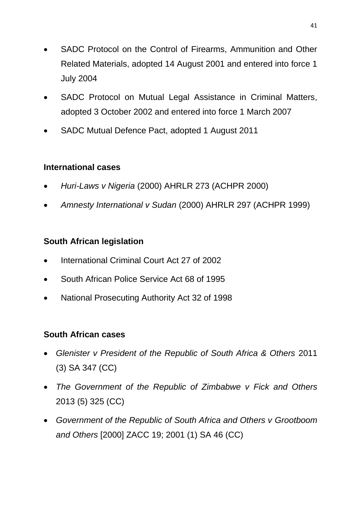- SADC Protocol on the Control of Firearms, Ammunition and Other Related Materials, adopted 14 August 2001 and entered into force 1 July 2004
- SADC Protocol on Mutual Legal Assistance in Criminal Matters, adopted 3 October 2002 and entered into force 1 March 2007
- SADC Mutual Defence Pact, adopted 1 August 2011

## **International cases**

- *Huri-Laws v Nigeria* (2000) AHRLR 273 (ACHPR 2000)
- *Amnesty International v Sudan* (2000) AHRLR 297 (ACHPR 1999)

## **South African legislation**

- International Criminal Court Act 27 of 2002
- South African Police Service Act 68 of 1995
- National Prosecuting Authority Act 32 of 1998

## **South African cases**

- *Glenister v President of the Republic of South Africa & Others* 2011 (3) SA 347 (CC)
- *The Government of the Republic of Zimbabwe v Fick and Others*  2013 (5) 325 (CC)
- *Government of the Republic of South Africa and Others v Grootboom and Others* [2000] ZACC 19; 2001 (1) SA 46 (CC)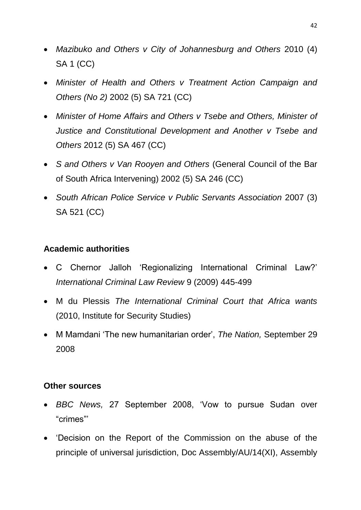- *Mazibuko and Others v City of Johannesburg and Others* 2010 (4) SA 1 (CC)
- *Minister of Health and Others v Treatment Action Campaign and Others (No 2)* 2002 (5) SA 721 (CC)
- *Minister of Home Affairs and Others v Tsebe and Others, Minister of Justice and Constitutional Development and Another v Tsebe and Others* 2012 (5) SA 467 (CC)
- *S and Others v Van Rooyen and Others* (General Council of the Bar of South Africa Intervening) 2002 (5) SA 246 (CC)
- *South African Police Service v Public Servants Association* 2007 (3) SA 521 (CC)

## **Academic authorities**

- C Chernor Jalloh 'Regionalizing International Criminal Law?' *International Criminal Law Review* 9 (2009) 445-499
- M du Plessis *The International Criminal Court that Africa wants*  (2010, Institute for Security Studies)
- M Mamdani 'The new humanitarian order', *The Nation,* September 29 2008

## **Other sources**

- *BBC News,* 27 September 2008, 'Vow to pursue Sudan over "crimes"'
- 'Decision on the Report of the Commission on the abuse of the principle of universal jurisdiction, Doc Assembly/AU/14(XI), Assembly